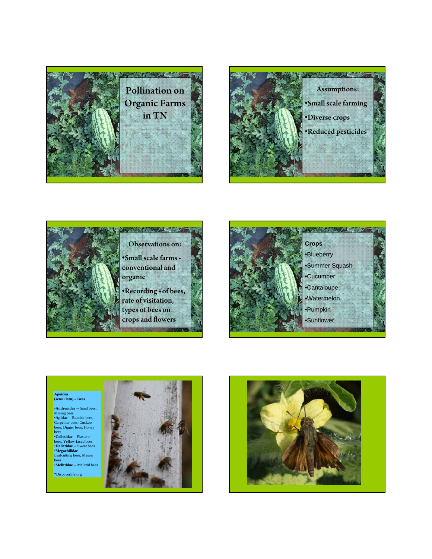









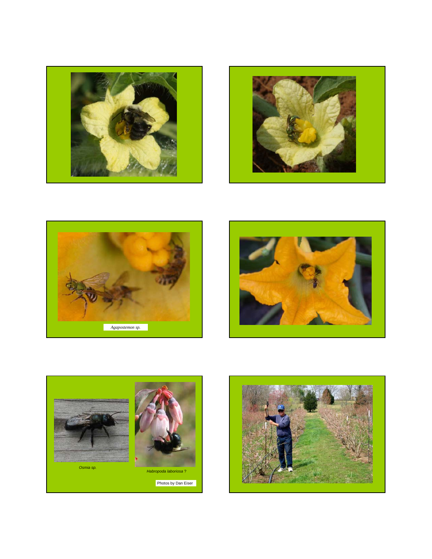









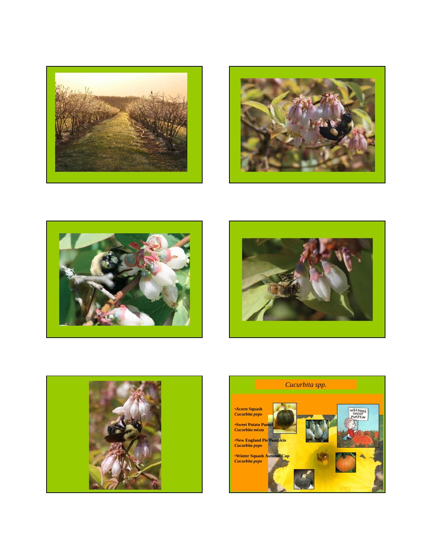









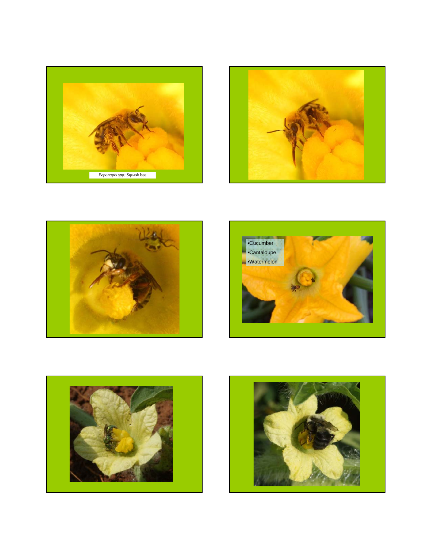









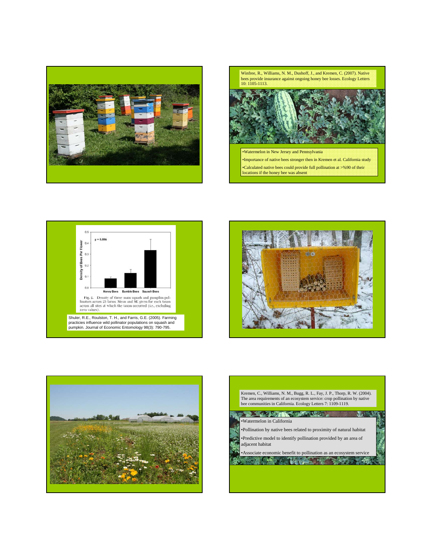



locations if the honey bee was absent







| The area requirements of an ecosystem service: crop pollination by native<br>bee communities in California. Ecology Letters 7: 1109-1119.                                                |
|------------------------------------------------------------------------------------------------------------------------------------------------------------------------------------------|
| •Watermelon in California<br>•Pollination by native bees related to proximity of natural habitat<br>•Predictive model to identify pollination provided by an area of<br>adjacent habitat |
| • Associate economic benefit to pollination as an ecosystem service                                                                                                                      |

┚